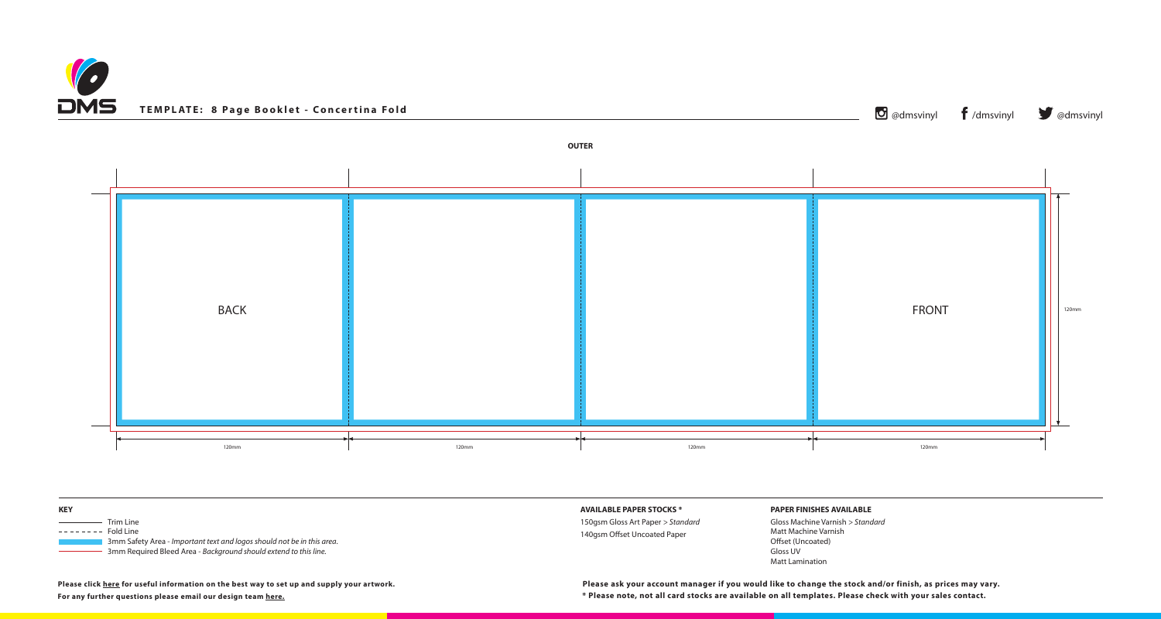



| <b>KEY</b>                                                                                                                                                                                                                                                                                                                                                                                                                                                                              | <b>AVAILABLE</b> |
|-----------------------------------------------------------------------------------------------------------------------------------------------------------------------------------------------------------------------------------------------------------------------------------------------------------------------------------------------------------------------------------------------------------------------------------------------------------------------------------------|------------------|
| Trim Line<br>$\frac{1}{2} \left( \frac{1}{2} \right) \left( \frac{1}{2} \right) \left( \frac{1}{2} \right) \left( \frac{1}{2} \right) \left( \frac{1}{2} \right) \left( \frac{1}{2} \right) \left( \frac{1}{2} \right) \left( \frac{1}{2} \right) \left( \frac{1}{2} \right) \left( \frac{1}{2} \right) \left( \frac{1}{2} \right) \left( \frac{1}{2} \right) \left( \frac{1}{2} \right) \left( \frac{1}{2} \right) \left( \frac{1}{2} \right) \left( \frac{1}{2} \right) \left( \frac$ | 150gsm Glo       |
| --------<br><b>Fold Line</b><br>3mm Safety Area - Important text and logos should not be in this area.<br>3mm Required Bleed Area - Background should extend to this line.                                                                                                                                                                                                                                                                                                              | 140gsm Of        |

## **PAPER FINISHES AVAILABLE**

Gloss Machine Varnish *> Standard* Matt Machine Varnish Offset (Uncoated) Gloss UV Matt Lamination

**For any further questions please email our design team [here.](mailto:graphics%40discmanufacturingservices.com?subject=Template%20Enquiry)**

**Please click [here](https://www.discmanufacturingservices.com/cd/templates#artwork-specifications) for useful information on the best way to set up and supply your artwork.**

**\* Please note, not all card stocks are available on all templates. Please check with your sales contact. Please ask your account manager if you would like to change the stock and/or finish, as prices may vary.**

## **E PAPER STOCKS \***

loss Art Paper *> Standard* fset Uncoated Paper